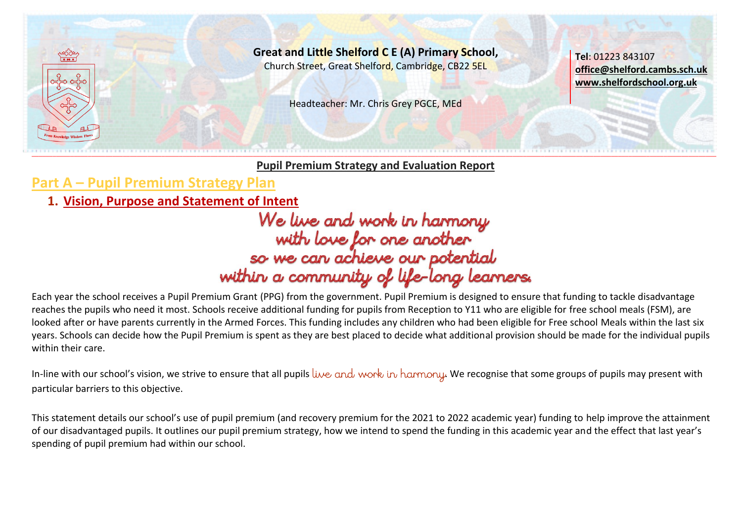

**Great and Little Shelford C E (A) Primary School,** Church Street, Great Shelford, Cambridge, CB22 5EL

Headteacher: Mr. Chris Grey PGCE, MEd

**Tel**: 01223 843107 **[office@shelford.cambs.sch.uk](mailto:office@shelford.cambs.sch.uk) [www.shelfordschool.org.uk](http://www.shelfordschool.org.uk/)**

**Pupil Premium Strategy and Evaluation Report**

**Part A – Pupil Premium Strategy Plan**

1. <u>Vision, Purpose and Statement of Intent</u><br>We live and work in harmony<br>with love for one another<br>so we can achieve our potential<br>within a community of life-long learners.

Each year the school receives a Pupil Premium Grant (PPG) from the government. Pupil Premium is designed to ensure that funding to tackle disadvantage reaches the pupils who need it most. Schools receive additional funding for pupils from Reception to Y11 who are eligible for free school meals (FSM), are looked after or have parents currently in the Armed Forces. This funding includes any children who had been eligible for Free school Meals within the last six years. Schools can decide how the Pupil Premium is spent as they are best placed to decide what additional provision should be made for the individual pupils within their care.

In-line with our school's vision, we strive to ensure that all pupils live and work in harmony. We recognise that some groups of pupils may present with particular barriers to this objective.

This statement details our school's use of pupil premium (and recovery premium for the 2021 to 2022 academic year) funding to help improve the attainment of our disadvantaged pupils. It outlines our pupil premium strategy, how we intend to spend the funding in this academic year and the effect that last year's spending of pupil premium had within our school.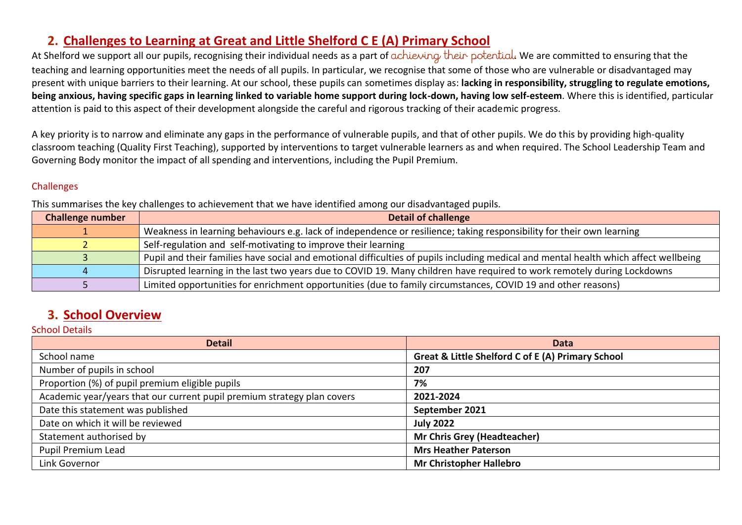### **2. Challenges to Learning at Great and Little Shelford C E (A) Primary School**

At Shelford we support all our pupils, recognising their individual needs as a part of achieving their potential. We are committed to ensuring that the teaching and learning opportunities meet the needs of all pupils. In particular, we recognise that some of those who are vulnerable or disadvantaged may present with unique barriers to their learning. At our school, these pupils can sometimes display as: **lacking in responsibility, struggling to regulate emotions, being anxious, having specific gaps in learning linked to variable home support during lock-down, having low self-esteem**. Where this is identified, particular attention is paid to this aspect of their development alongside the careful and rigorous tracking of their academic progress.

A key priority is to narrow and eliminate any gaps in the performance of vulnerable pupils, and that of other pupils. We do this by providing high-quality classroom teaching (Quality First Teaching), supported by interventions to target vulnerable learners as and when required. The School Leadership Team and Governing Body monitor the impact of all spending and interventions, including the Pupil Premium.

### Challenges

This summarises the key challenges to achievement that we have identified among our disadvantaged pupils.

| <b>Challenge number</b> | <b>Detail of challenge</b>                                                                                                           |
|-------------------------|--------------------------------------------------------------------------------------------------------------------------------------|
|                         | Weakness in learning behaviours e.g. lack of independence or resilience; taking responsibility for their own learning                |
|                         | Self-regulation and self-motivating to improve their learning                                                                        |
|                         | Pupil and their families have social and emotional difficulties of pupils including medical and mental health which affect wellbeing |
|                         | Disrupted learning in the last two years due to COVID 19. Many children have required to work remotely during Lockdowns              |
|                         | Limited opportunities for enrichment opportunities (due to family circumstances, COVID 19 and other reasons)                         |

### **3. School Overview**

#### School Details

| <b>Detail</b>                                                           | <b>Data</b>                                       |
|-------------------------------------------------------------------------|---------------------------------------------------|
| School name                                                             | Great & Little Shelford C of E (A) Primary School |
| Number of pupils in school                                              | 207                                               |
| Proportion (%) of pupil premium eligible pupils                         | 7%                                                |
| Academic year/years that our current pupil premium strategy plan covers | 2021-2024                                         |
| Date this statement was published                                       | September 2021                                    |
| Date on which it will be reviewed                                       | <b>July 2022</b>                                  |
| Statement authorised by                                                 | <b>Mr Chris Grey (Headteacher)</b>                |
| Pupil Premium Lead                                                      | <b>Mrs Heather Paterson</b>                       |
| Link Governor                                                           | <b>Mr Christopher Hallebro</b>                    |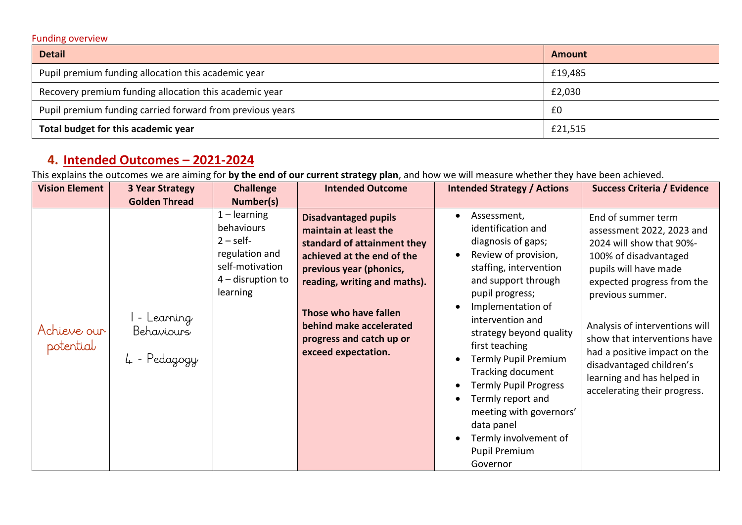#### Funding overview

| <b>Detail</b>                                             | Amount  |
|-----------------------------------------------------------|---------|
| Pupil premium funding allocation this academic year       | £19,485 |
| Recovery premium funding allocation this academic year    | £2,030  |
| Pupil premium funding carried forward from previous years | £0      |
| Total budget for this academic year                       | £21,515 |

# **4. Intended Outcomes – 2021-2024**

This explains the outcomes we are aiming for **by the end of our current strategy plan**, and how we will measure whether they have been achieved.

| <b>Vision Element</b>    | <b>3 Year Strategy</b>                   | <b>Challenge</b>                                                                                                   | <b>Intended Outcome</b>                                                                                                                                                                                                                                                             | <b>Intended Strategy / Actions</b>                                                                                                                                                                                                                                                                                                                                                                                                                       | <b>Success Criteria / Evidence</b>                                                                                                                                                                                                                                                                                                                                          |
|--------------------------|------------------------------------------|--------------------------------------------------------------------------------------------------------------------|-------------------------------------------------------------------------------------------------------------------------------------------------------------------------------------------------------------------------------------------------------------------------------------|----------------------------------------------------------------------------------------------------------------------------------------------------------------------------------------------------------------------------------------------------------------------------------------------------------------------------------------------------------------------------------------------------------------------------------------------------------|-----------------------------------------------------------------------------------------------------------------------------------------------------------------------------------------------------------------------------------------------------------------------------------------------------------------------------------------------------------------------------|
|                          | <b>Golden Thread</b>                     | Number(s)                                                                                                          |                                                                                                                                                                                                                                                                                     |                                                                                                                                                                                                                                                                                                                                                                                                                                                          |                                                                                                                                                                                                                                                                                                                                                                             |
| Achieve our<br>potential | - Learning<br>Behaviours<br>4 - Pedagogy | $1$ – learning<br>behaviours<br>$2 - self$<br>regulation and<br>self-motivation<br>$4$ – disruption to<br>learning | <b>Disadvantaged pupils</b><br>maintain at least the<br>standard of attainment they<br>achieved at the end of the<br>previous year (phonics,<br>reading, writing and maths).<br>Those who have fallen<br>behind make accelerated<br>progress and catch up or<br>exceed expectation. | Assessment,<br>identification and<br>diagnosis of gaps;<br>Review of provision,<br>staffing, intervention<br>and support through<br>pupil progress;<br>Implementation of<br>intervention and<br>strategy beyond quality<br>first teaching<br>Termly Pupil Premium<br><b>Tracking document</b><br><b>Termly Pupil Progress</b><br>Termly report and<br>meeting with governors'<br>data panel<br>Termly involvement of<br><b>Pupil Premium</b><br>Governor | End of summer term<br>assessment 2022, 2023 and<br>2024 will show that 90%-<br>100% of disadvantaged<br>pupils will have made<br>expected progress from the<br>previous summer.<br>Analysis of interventions will<br>show that interventions have<br>had a positive impact on the<br>disadvantaged children's<br>learning and has helped in<br>accelerating their progress. |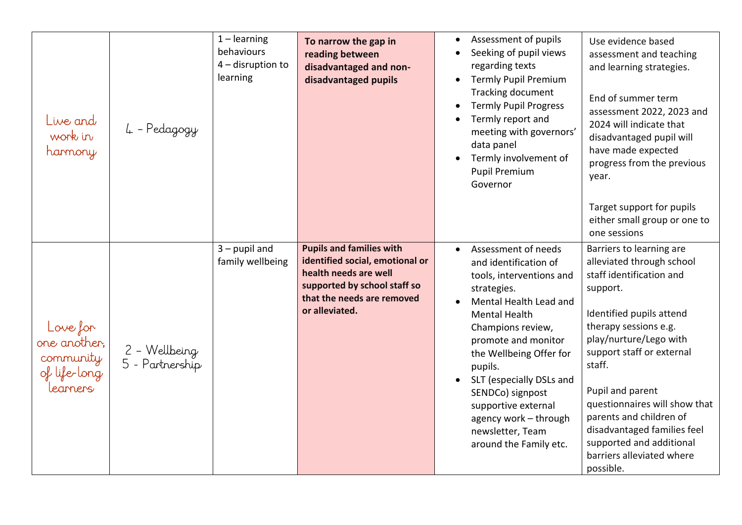| Live and<br>work in<br>harmony                                    | 4 - Pedagogy                     | $1 - learning$<br>behaviours<br>$4$ – disruption to<br>learning | To narrow the gap in<br>reading between<br>disadvantaged and non-<br>disadvantaged pupils                                                                                   | Assessment of pupils<br>Seeking of pupil views<br>regarding texts<br>Termly Pupil Premium<br>$\bullet$<br><b>Tracking document</b><br><b>Termly Pupil Progress</b><br>Termly report and<br>meeting with governors'<br>data panel<br>Termly involvement of<br><b>Pupil Premium</b><br>Governor                                                                             | Use evidence based<br>assessment and teaching<br>and learning strategies.<br>End of summer term<br>assessment 2022, 2023 and<br>2024 will indicate that<br>disadvantaged pupil will<br>have made expected<br>progress from the previous<br>year.<br>Target support for pupils<br>either small group or one to<br>one sessions                                                                            |
|-------------------------------------------------------------------|----------------------------------|-----------------------------------------------------------------|-----------------------------------------------------------------------------------------------------------------------------------------------------------------------------|---------------------------------------------------------------------------------------------------------------------------------------------------------------------------------------------------------------------------------------------------------------------------------------------------------------------------------------------------------------------------|----------------------------------------------------------------------------------------------------------------------------------------------------------------------------------------------------------------------------------------------------------------------------------------------------------------------------------------------------------------------------------------------------------|
| Love for<br>one another,<br>community<br>of life-long<br>learners | 2 – Wellbeing<br>5 - Partnership | $3$ – pupil and<br>family wellbeing                             | <b>Pupils and families with</b><br>identified social, emotional or<br>health needs are well<br>supported by school staff so<br>that the needs are removed<br>or alleviated. | Assessment of needs<br>and identification of<br>tools, interventions and<br>strategies.<br>Mental Health Lead and<br><b>Mental Health</b><br>Champions review,<br>promote and monitor<br>the Wellbeing Offer for<br>pupils.<br>SLT (especially DSLs and<br>SENDCo) signpost<br>supportive external<br>agency work - through<br>newsletter, Team<br>around the Family etc. | Barriers to learning are<br>alleviated through school<br>staff identification and<br>support.<br>Identified pupils attend<br>therapy sessions e.g.<br>play/nurture/Lego with<br>support staff or external<br>staff.<br>Pupil and parent<br>questionnaires will show that<br>parents and children of<br>disadvantaged families feel<br>supported and additional<br>barriers alleviated where<br>possible. |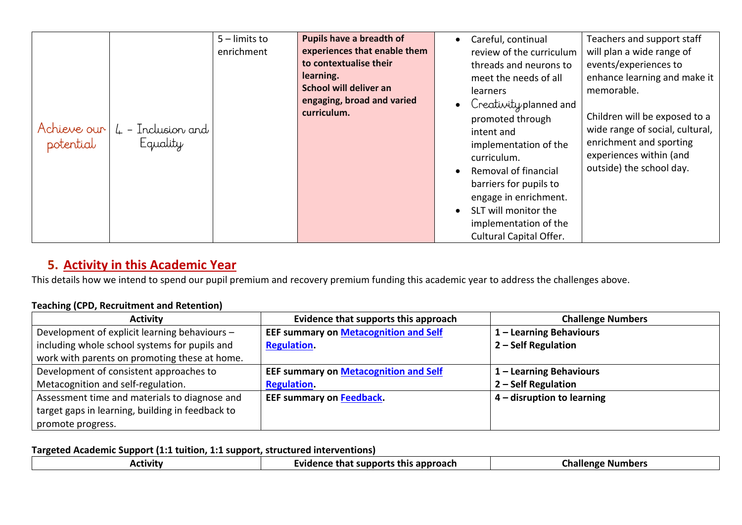|                          |                                   | $5$ – limits to<br>enrichment | Pupils have a breadth of<br>experiences that enable them<br>to contextualise their | Careful, continual<br>review of the curriculum<br>threads and neurons to                                                                                                                                                                                                                            | Teachers and support staff<br>will plan a wide range of<br>events/experiences to                                                                                                                 |
|--------------------------|-----------------------------------|-------------------------------|------------------------------------------------------------------------------------|-----------------------------------------------------------------------------------------------------------------------------------------------------------------------------------------------------------------------------------------------------------------------------------------------------|--------------------------------------------------------------------------------------------------------------------------------------------------------------------------------------------------|
| Achieve our<br>potential | $\mu$ – Inclusion and<br>Equality |                               | learning.<br>School will deliver an<br>engaging, broad and varied<br>curriculum.   | meet the needs of all<br>learners<br>Creativity planned and<br>promoted through<br>intent and<br>implementation of the<br>curriculum.<br>Removal of financial<br>barriers for pupils to<br>engage in enrichment.<br>SLT will monitor the<br>implementation of the<br><b>Cultural Capital Offer.</b> | enhance learning and make it<br>memorable.<br>Children will be exposed to a<br>wide range of social, cultural,<br>enrichment and sporting<br>experiences within (and<br>outside) the school day. |

### **5. Activity in this Academic Year**

This details how we intend to spend our pupil premium and recovery premium funding this academic year to address the challenges above.

### **Teaching (CPD, Recruitment and Retention)**

| <b>Activity</b>                                  | Evidence that supports this approach         | <b>Challenge Numbers</b>   |
|--------------------------------------------------|----------------------------------------------|----------------------------|
| Development of explicit learning behaviours -    | <b>EEF summary on Metacognition and Self</b> | 1 - Learning Behaviours    |
| including whole school systems for pupils and    | <b>Regulation.</b>                           | 2 - Self Regulation        |
| work with parents on promoting these at home.    |                                              |                            |
| Development of consistent approaches to          | <b>EEF summary on Metacognition and Self</b> | 1 - Learning Behaviours    |
| Metacognition and self-regulation.               | <b>Regulation.</b>                           | 2 - Self Regulation        |
| Assessment time and materials to diagnose and    | EEF summary on Feedback.                     | 4 – disruption to learning |
| target gaps in learning, building in feedback to |                                              |                            |
| promote progress.                                |                                              |                            |

### **Targeted Academic Support (1:1 tuition, 1:1 support, structured interventions)**

| ACLIVILY | this approach<br>supports<br>-vidence<br>∵tna.<br>- IIV | <b>Challenge Numbers</b> |
|----------|---------------------------------------------------------|--------------------------|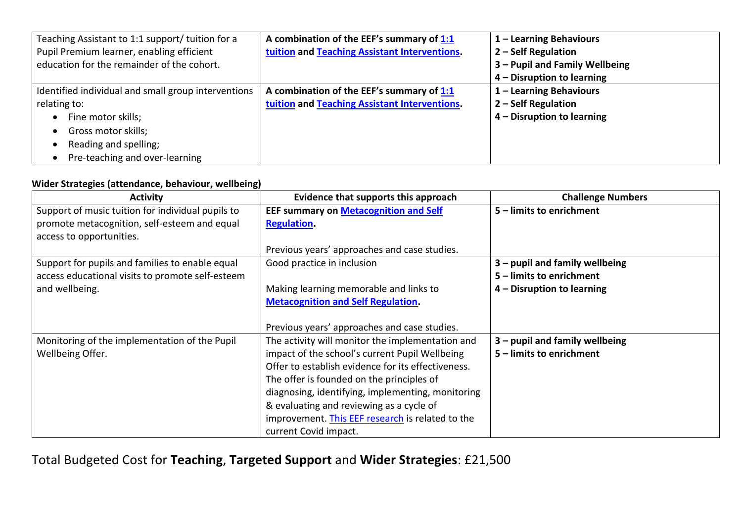| Teaching Assistant to 1:1 support/ tuition for a    | A combination of the EEF's summary of 1:1     | 1 - Learning Behaviours        |
|-----------------------------------------------------|-----------------------------------------------|--------------------------------|
| Pupil Premium learner, enabling efficient           | tuition and Teaching Assistant Interventions. | 2 - Self Regulation            |
| education for the remainder of the cohort.          |                                               | 3 - Pupil and Family Wellbeing |
|                                                     |                                               | 4 – Disruption to learning     |
| Identified individual and small group interventions | A combination of the EEF's summary of 1:1     | 1 - Learning Behaviours        |
| relating to:                                        | tuition and Teaching Assistant Interventions. | 2 – Self Regulation            |
| Fine motor skills;<br>$\bullet$                     |                                               | 4 – Disruption to learning     |
| Gross motor skills;<br>$\bullet$                    |                                               |                                |
| Reading and spelling;                               |                                               |                                |
| Pre-teaching and over-learning                      |                                               |                                |

#### **Wider Strategies (attendance, behaviour, wellbeing)**

| <b>Activity</b>                                   | Evidence that supports this approach               | <b>Challenge Numbers</b>         |
|---------------------------------------------------|----------------------------------------------------|----------------------------------|
| Support of music tuition for individual pupils to | <b>EEF summary on Metacognition and Self</b>       | 5 - limits to enrichment         |
| promote metacognition, self-esteem and equal      | <b>Regulation.</b>                                 |                                  |
| access to opportunities.                          |                                                    |                                  |
|                                                   | Previous years' approaches and case studies.       |                                  |
| Support for pupils and families to enable equal   | Good practice in inclusion                         | $3$ – pupil and family wellbeing |
| access educational visits to promote self-esteem  |                                                    | 5 – limits to enrichment         |
| and wellbeing.                                    | Making learning memorable and links to             | 4 – Disruption to learning       |
|                                                   | <b>Metacognition and Self Regulation.</b>          |                                  |
|                                                   |                                                    |                                  |
|                                                   | Previous years' approaches and case studies.       |                                  |
| Monitoring of the implementation of the Pupil     | The activity will monitor the implementation and   | 3 - pupil and family wellbeing   |
| Wellbeing Offer.                                  | impact of the school's current Pupil Wellbeing     | 5 – limits to enrichment         |
|                                                   | Offer to establish evidence for its effectiveness. |                                  |
|                                                   | The offer is founded on the principles of          |                                  |
|                                                   | diagnosing, identifying, implementing, monitoring  |                                  |
|                                                   | & evaluating and reviewing as a cycle of           |                                  |
|                                                   | improvement. This EEF research is related to the   |                                  |
|                                                   | current Covid impact.                              |                                  |

Total Budgeted Cost for **Teaching**, **Targeted Support** and **Wider Strategies**: £21,500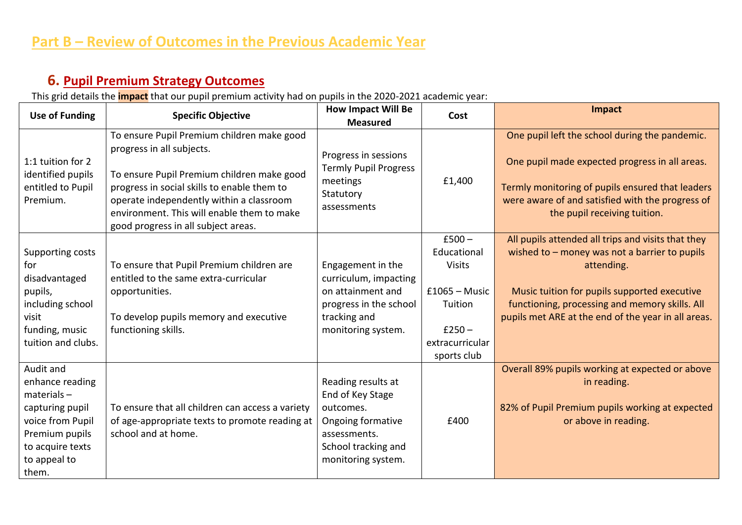# **6. Pupil Premium Strategy Outcomes**

This grid details the **impact** that our pupil premium activity had on pupils in the 2020-2021 academic year:

| <b>Use of Funding</b>                                                                                                                               | <b>Specific Objective</b>                                                                                                                                                                                                                                                                             | <b>How Impact Will Be</b><br><b>Measured</b>                                                                                          | Cost                                       | Impact                                                                                                                                                                                                                                   |
|-----------------------------------------------------------------------------------------------------------------------------------------------------|-------------------------------------------------------------------------------------------------------------------------------------------------------------------------------------------------------------------------------------------------------------------------------------------------------|---------------------------------------------------------------------------------------------------------------------------------------|--------------------------------------------|------------------------------------------------------------------------------------------------------------------------------------------------------------------------------------------------------------------------------------------|
| 1:1 tuition for 2<br>identified pupils<br>entitled to Pupil<br>Premium.                                                                             | To ensure Pupil Premium children make good<br>progress in all subjects.<br>To ensure Pupil Premium children make good<br>progress in social skills to enable them to<br>operate independently within a classroom<br>environment. This will enable them to make<br>good progress in all subject areas. | Progress in sessions<br><b>Termly Pupil Progress</b><br>meetings<br>Statutory<br>assessments                                          | £1,400                                     | One pupil left the school during the pandemic.<br>One pupil made expected progress in all areas.<br>Termly monitoring of pupils ensured that leaders<br>were aware of and satisfied with the progress of<br>the pupil receiving tuition. |
|                                                                                                                                                     |                                                                                                                                                                                                                                                                                                       |                                                                                                                                       | $£500 -$                                   | All pupils attended all trips and visits that they                                                                                                                                                                                       |
| Supporting costs<br>for                                                                                                                             | To ensure that Pupil Premium children are                                                                                                                                                                                                                                                             | Engagement in the                                                                                                                     | Educational<br><b>Visits</b>               | wished to $-$ money was not a barrier to pupils<br>attending.                                                                                                                                                                            |
| disadvantaged<br>pupils,<br>including school                                                                                                        | entitled to the same extra-curricular<br>opportunities.                                                                                                                                                                                                                                               | curriculum, impacting<br>on attainment and<br>progress in the school                                                                  | $£1065 - Music$<br>Tuition                 | Music tuition for pupils supported executive<br>functioning, processing and memory skills. All                                                                                                                                           |
| visit<br>funding, music<br>tuition and clubs.                                                                                                       | To develop pupils memory and executive<br>functioning skills.                                                                                                                                                                                                                                         | tracking and<br>monitoring system.                                                                                                    | $£250 -$<br>extracurricular<br>sports club | pupils met ARE at the end of the year in all areas.                                                                                                                                                                                      |
| Audit and<br>enhance reading<br>$materials -$<br>capturing pupil<br>voice from Pupil<br>Premium pupils<br>to acquire texts<br>to appeal to<br>them. | To ensure that all children can access a variety<br>of age-appropriate texts to promote reading at<br>school and at home.                                                                                                                                                                             | Reading results at<br>End of Key Stage<br>outcomes.<br>Ongoing formative<br>assessments.<br>School tracking and<br>monitoring system. | £400                                       | Overall 89% pupils working at expected or above<br>in reading.<br>82% of Pupil Premium pupils working at expected<br>or above in reading.                                                                                                |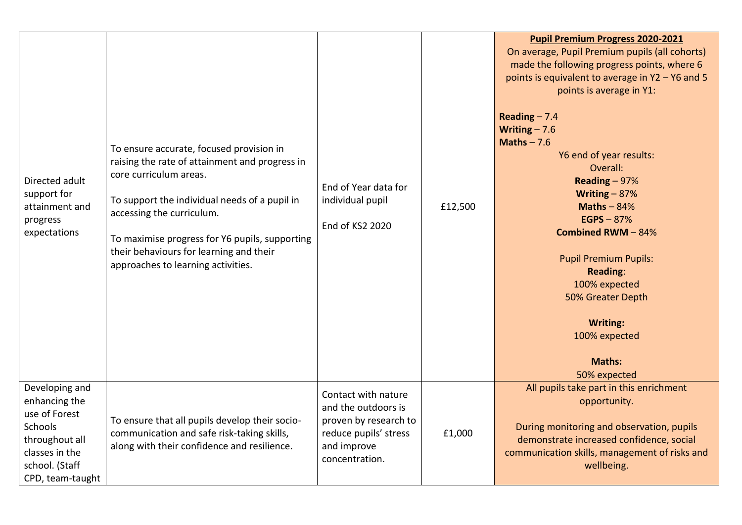| Directed adult<br>support for<br>attainment and<br>progress<br>expectations                                                           | To ensure accurate, focused provision in<br>raising the rate of attainment and progress in<br>core curriculum areas.<br>To support the individual needs of a pupil in<br>accessing the curriculum.<br>To maximise progress for Y6 pupils, supporting<br>their behaviours for learning and their<br>approaches to learning activities. | End of Year data for<br>individual pupil<br>End of KS2 2020                                                                   | £12,500 | <b>Pupil Premium Progress 2020-2021</b><br>On average, Pupil Premium pupils (all cohorts)<br>made the following progress points, where 6<br>points is equivalent to average in Y2 - Y6 and 5<br>points is average in Y1:<br>Reading $- 7.4$<br>Writing $-7.6$<br>Maths $-7.6$<br>Y6 end of year results:<br>Overall:<br>Reading $-97%$<br>Writing $-87%$<br>Maths $-84%$<br>EGPS $-87%$<br><b>Combined RWM-84%</b><br><b>Pupil Premium Pupils:</b><br><b>Reading:</b><br>100% expected<br>50% Greater Depth<br><b>Writing:</b><br>100% expected<br>Maths:<br>50% expected |
|---------------------------------------------------------------------------------------------------------------------------------------|---------------------------------------------------------------------------------------------------------------------------------------------------------------------------------------------------------------------------------------------------------------------------------------------------------------------------------------|-------------------------------------------------------------------------------------------------------------------------------|---------|---------------------------------------------------------------------------------------------------------------------------------------------------------------------------------------------------------------------------------------------------------------------------------------------------------------------------------------------------------------------------------------------------------------------------------------------------------------------------------------------------------------------------------------------------------------------------|
| Developing and<br>enhancing the<br>use of Forest<br>Schools<br>throughout all<br>classes in the<br>school. (Staff<br>CPD, team-taught | To ensure that all pupils develop their socio-<br>communication and safe risk-taking skills,<br>along with their confidence and resilience.                                                                                                                                                                                           | Contact with nature<br>and the outdoors is<br>proven by research to<br>reduce pupils' stress<br>and improve<br>concentration. | £1,000  | All pupils take part in this enrichment<br>opportunity.<br>During monitoring and observation, pupils<br>demonstrate increased confidence, social<br>communication skills, management of risks and<br>wellbeing.                                                                                                                                                                                                                                                                                                                                                           |